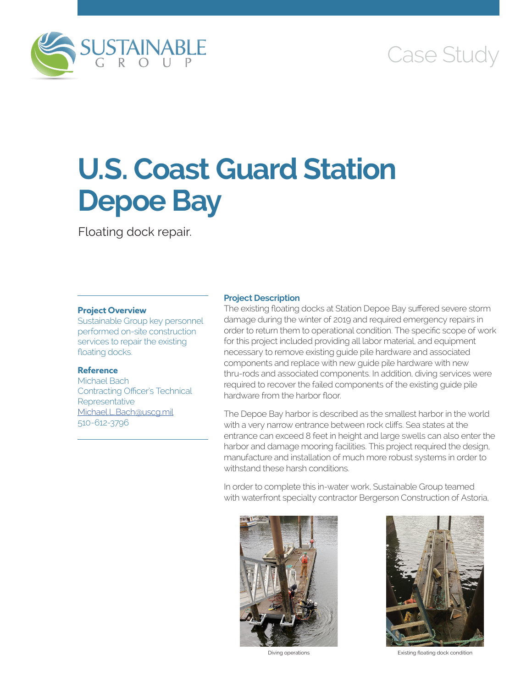

# Case Study

# **U.S. Coast Guard Station Depoe Bay**

Floating dock repair.

## **Project Overview**

Sustainable Group key personnel performed on-site construction services to repair the existing floating docks.

# **Reference**

Michael Bach Contracting Officer's Technical Representative [Michael.L.Bach@uscg.mil](mailto:Michael.L.Bach@uscg.mil) 510-612-3796

### **Project Description**

The existing floating docks at Station Depoe Bay suffered severe storm damage during the winter of 2019 and required emergency repairs in order to return them to operational condition. The specific scope of work for this project included providing all labor material, and equipment necessary to remove existing guide pile hardware and associated components and replace with new guide pile hardware with new thru-rods and associated components. In addition, diving services were required to recover the failed components of the existing guide pile hardware from the harbor floor.

The Depoe Bay harbor is described as the smallest harbor in the world with a very narrow entrance between rock cliffs. Sea states at the entrance can exceed 8 feet in height and large swells can also enter the harbor and damage mooring facilities. This project required the design, manufacture and installation of much more robust systems in order to withstand these harsh conditions.

In order to complete this in-water work, Sustainable Group teamed with waterfront specialty contractor Bergerson Construction of Astoria,





Diving operations Existing floating dock condition